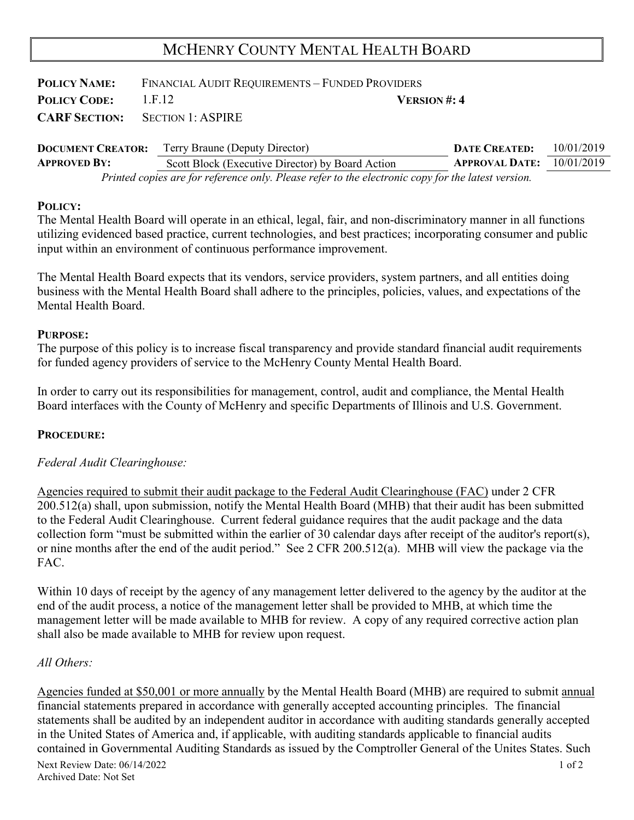# MCHENRY COUNTY MENTAL HEALTH BOARD

| <b>POLICY NAME:</b> | FINANCIAL AUDIT REQUIREMENTS - FUNDED PROVIDERS |                     |  |
|---------------------|-------------------------------------------------|---------------------|--|
| <b>POLICY CODE:</b> | 1.F.12                                          | <b>VERSION</b> #: 4 |  |
|                     | <b>CARF SECTION:</b> SECTION 1: ASPIRE          |                     |  |

| <b>DOCUMENT CREATOR:</b> | Terry Braune (Deputy Director)                                                                     | <b>DATE CREATED:</b>        | 10/01/2019 |
|--------------------------|----------------------------------------------------------------------------------------------------|-----------------------------|------------|
| <b>APPROVED BY:</b>      | Scott Block (Executive Director) by Board Action                                                   | APPROVAL DATE: $10/01/2019$ |            |
|                          | Printed copies are for reference only. Please refer to the electronic copy for the latest version. |                             |            |

### **POLICY:**

The Mental Health Board will operate in an ethical, legal, fair, and non-discriminatory manner in all functions utilizing evidenced based practice, current technologies, and best practices; incorporating consumer and public input within an environment of continuous performance improvement.

The Mental Health Board expects that its vendors, service providers, system partners, and all entities doing business with the Mental Health Board shall adhere to the principles, policies, values, and expectations of the Mental Health Board.

#### **PURPOSE:**

The purpose of this policy is to increase fiscal transparency and provide standard financial audit requirements for funded agency providers of service to the McHenry County Mental Health Board.

In order to carry out its responsibilities for management, control, audit and compliance, the Mental Health Board interfaces with the County of McHenry and specific Departments of Illinois and U.S. Government.

### **PROCEDURE:**

### *Federal Audit Clearinghouse:*

Agencies required to submit their audit package to the Federal Audit Clearinghouse (FAC) under 2 CFR 200.512(a) shall, upon submission, notify the Mental Health Board (MHB) that their audit has been submitted to the Federal Audit Clearinghouse. Current federal guidance requires that the audit package and the data collection form "must be submitted within the earlier of 30 calendar days after receipt of the auditor's report(s), or nine months after the end of the audit period." See 2 CFR 200.512(a). MHB will view the package via the FAC.

Within 10 days of receipt by the agency of any management letter delivered to the agency by the auditor at the end of the audit process, a notice of the management letter shall be provided to MHB, at which time the management letter will be made available to MHB for review. A copy of any required corrective action plan shall also be made available to MHB for review upon request.

### *All Others:*

Next Review Date: 06/14/2022 1 of 2 Agencies funded at \$50,001 or more annually by the Mental Health Board (MHB) are required to submit annual financial statements prepared in accordance with generally accepted accounting principles. The financial statements shall be audited by an independent auditor in accordance with auditing standards generally accepted in the United States of America and, if applicable, with auditing standards applicable to financial audits contained in Governmental Auditing Standards as issued by the Comptroller General of the Unites States. Such